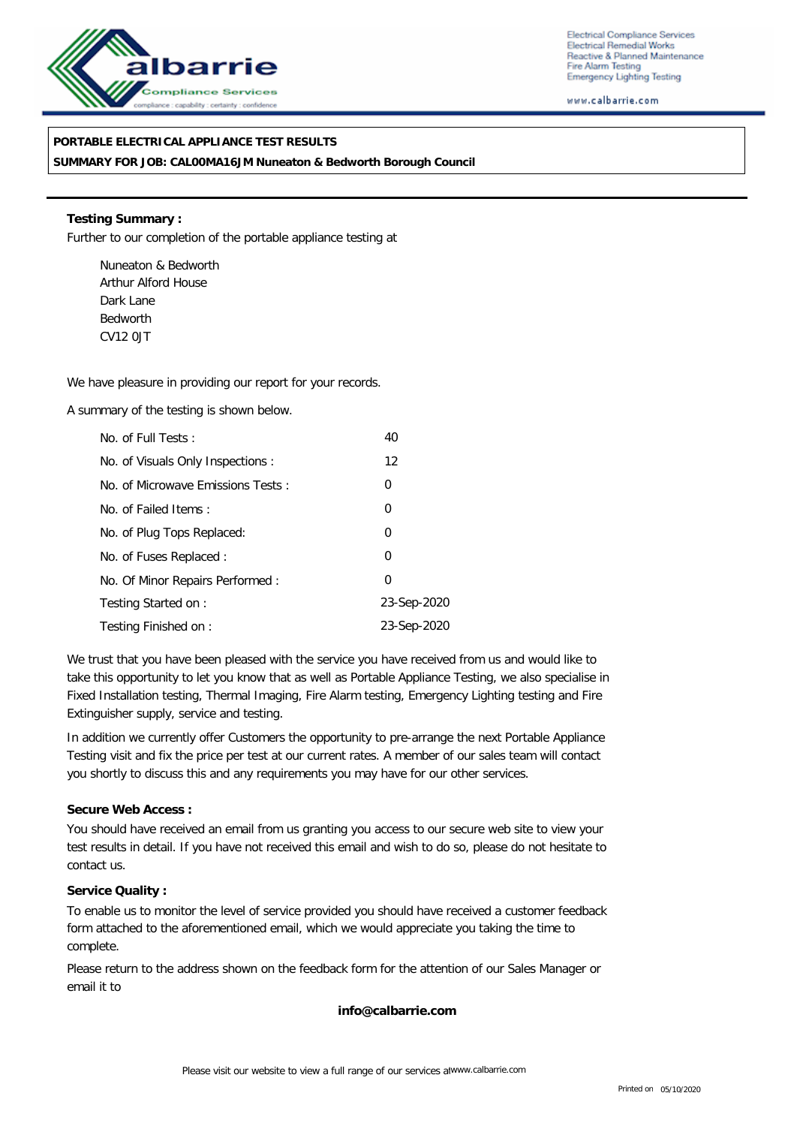

Electrical Compliance Services Electrical Remedial Works Reactive & Planned Maintenance Fire Alarm Testing **Emergency Lighting Testing** 

www.calbarrie.com

## **PORTABLE ELECTRICAL APPLIANCE TEST RESULTS**

**SUMMARY FOR JOB: CAL00MA16JM Nuneaton & Bedworth Borough Council**

**Testing Summary :** Further to our completion of the portable appliance testing at

Nuneaton & Bedworth Arthur Alford House Dark Lane Bedworth CV12 0JT

We have pleasure in providing our report for your records.

A summary of the testing is shown below.

| No. of Full Tests:                | 40                |
|-----------------------------------|-------------------|
| No. of Visuals Only Inspections:  | $12 \overline{ }$ |
| No. of Microwave Emissions Tests: | 0                 |
| No. of Failed Items:              | $\overline{0}$    |
| No. of Plug Tops Replaced:        | $\overline{0}$    |
| No. of Fuses Replaced:            | 0                 |
| No. Of Minor Repairs Performed:   | 0                 |
| Testing Started on:               | 23-Sep-2020       |
| Testing Finished on:              | 23-Sep-2020       |

We trust that you have been pleased with the service you have received from us and would like to take this opportunity to let you know that as well as Portable Appliance Testing, we also specialise in Fixed Installation testing, Thermal Imaging, Fire Alarm testing, Emergency Lighting testing and Fire Extinguisher supply, service and testing.

In addition we currently offer Customers the opportunity to pre-arrange the next Portable Appliance Testing visit and fix the price per test at our current rates. A member of our sales team will contact you shortly to discuss this and any requirements you may have for our other services.

**Secure Web Access :**

You should have received an email from us granting you access to our secure web site to view your test results in detail. If you have not received this email and wish to do so, please do not hesitate to contact us.

**Service Quality :**

To enable us to monitor the level of service provided you should have received a customer feedback form attached to the aforementioned email, which we would appreciate you taking the time to complete.

Please return to the address shown on the feedback form for the attention of our Sales Manager or email it to

**info@calbarrie.com**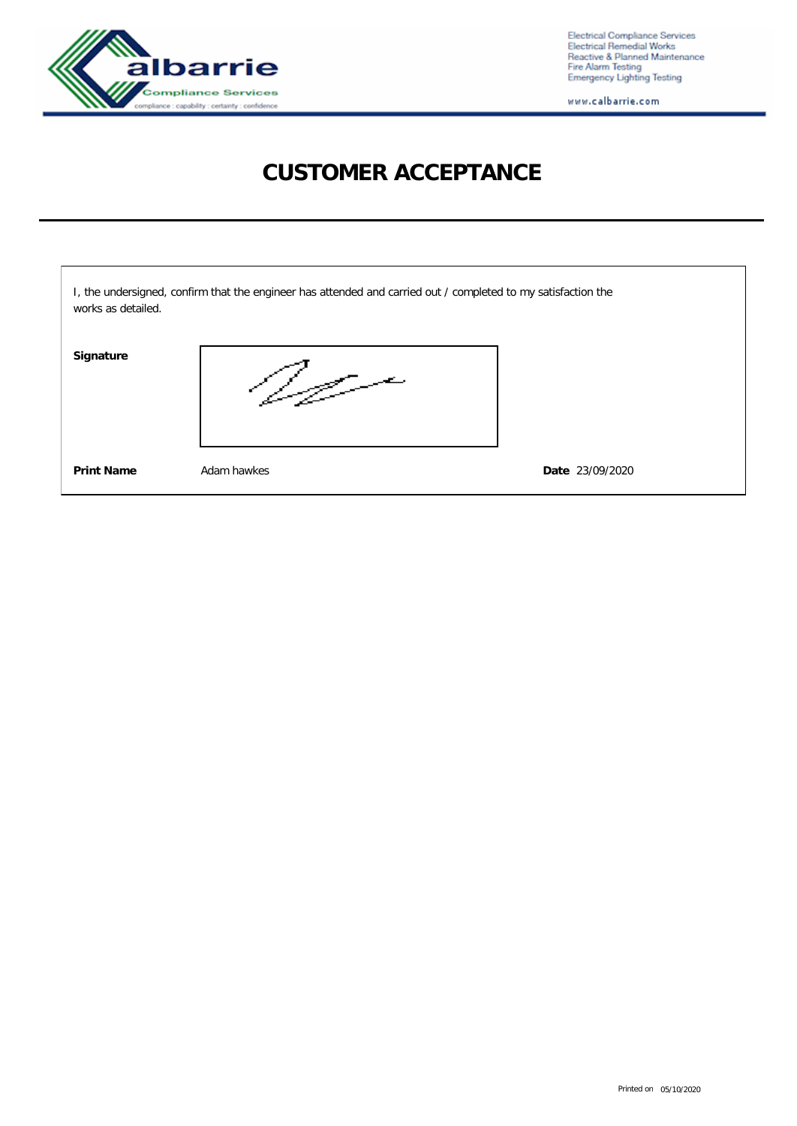

Electrical Compliance Services<br>Electrical Remedial Works<br>Reactive & Planned Maintenance<br>Fire Alarm Testing<br>Emergency Lighting Testing

www.calbarrie.com

## **CUSTOMER ACCEPTANCE**

| works as detailed. | I, the undersigned, confirm that the engineer has attended and carried out / completed to my satisfaction the |                 |
|--------------------|---------------------------------------------------------------------------------------------------------------|-----------------|
| Signature          |                                                                                                               |                 |
| <b>Print Name</b>  | Adam hawkes                                                                                                   | Date 23/09/2020 |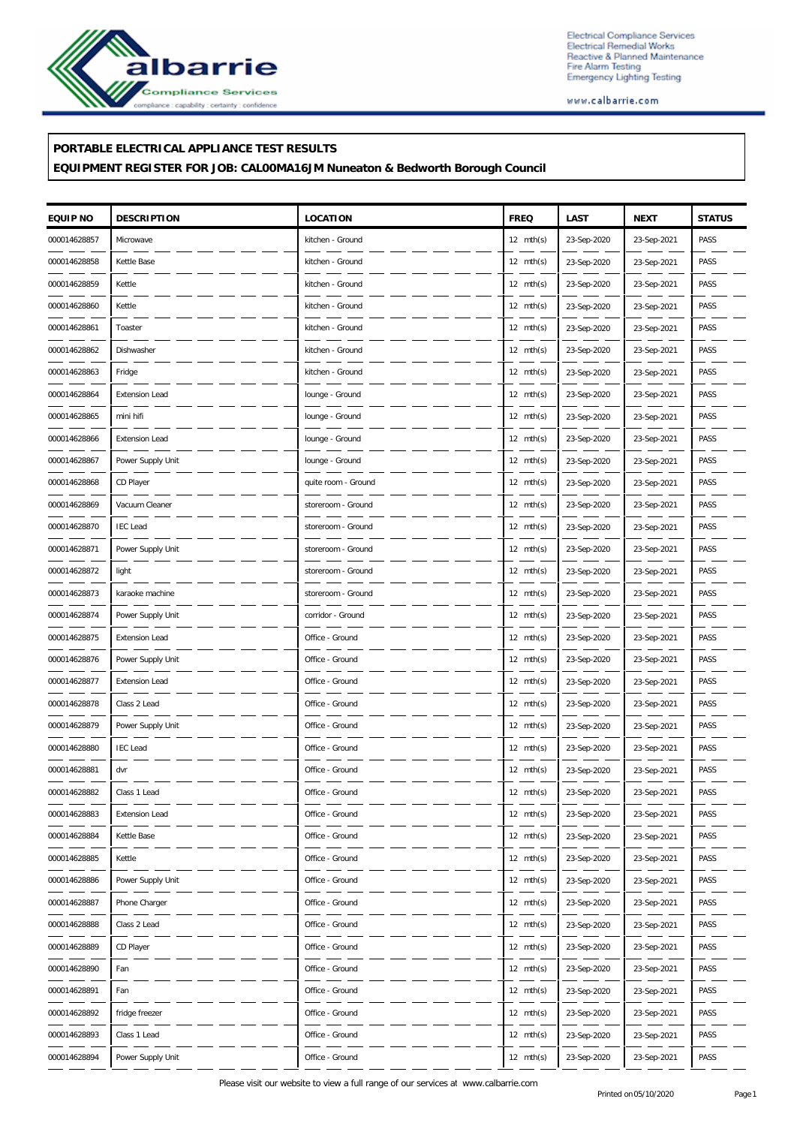

Electrical Compliance Services<br>Electrical Remedial Works<br>Reactive & Planned Maintenance<br>Fire Alarm Testing<br>Emergency Lighting Testing

www.calbarrie.com

## **PORTABLE ELECTRICAL APPLIANCE TEST RESULTS**

**EQUIPMENT REGISTER FOR JOB: CAL00MA16JM Nuneaton & Bedworth Borough Council**

| EQUIP NO     | <b>DESCRIPTION</b>    | LOCATION            | <b>FREQ</b>         | LAST        | <b>NEXT</b> | <b>STATUS</b> |
|--------------|-----------------------|---------------------|---------------------|-------------|-------------|---------------|
| 000014628857 | Microwave             | kitchen - Ground    | $12 \text{ mth(s)}$ | 23-Sep-2020 | 23-Sep-2021 | PASS          |
| 000014628858 | Kettle Base           | kitchen - Ground    | $12 \text{ mth(s)}$ | 23-Sep-2020 | 23-Sep-2021 | PASS          |
| 000014628859 | Kettle                | kitchen - Ground    | $12 \text{ mth(s)}$ | 23-Sep-2020 | 23-Sep-2021 | PASS          |
| 000014628860 | Kettle                | kitchen - Ground    | $12 \text{ mth(s)}$ | 23-Sep-2020 | 23-Sep-2021 | PASS          |
| 000014628861 | Toaster               | kitchen - Ground    | $12 \text{ mth(s)}$ | 23-Sep-2020 | 23-Sep-2021 | PASS          |
| 000014628862 | Dishwasher            | kitchen - Ground    | $12 \text{ mth(s)}$ | 23-Sep-2020 | 23-Sep-2021 | PASS          |
| 000014628863 | Fridge                | kitchen - Ground    | $12 \text{ mth(s)}$ | 23-Sep-2020 | 23-Sep-2021 | PASS          |
| 000014628864 | <b>Extension Lead</b> | lounge - Ground     | $12 \text{ mth(s)}$ | 23-Sep-2020 | 23-Sep-2021 | PASS          |
| 000014628865 | mini hifi             | lounge - Ground     | $12 \text{ mth(s)}$ | 23-Sep-2020 | 23-Sep-2021 | PASS          |
| 000014628866 | <b>Extension Lead</b> | lounge - Ground     | $12 \text{ mth(s)}$ | 23-Sep-2020 | 23-Sep-2021 | PASS          |
| 000014628867 | Power Supply Unit     | lounge - Ground     | $12 \text{ mth(s)}$ | 23-Sep-2020 | 23-Sep-2021 | PASS          |
| 000014628868 | CD Player             | quite room - Ground | $12 \text{ mth(s)}$ | 23-Sep-2020 | 23-Sep-2021 | PASS          |
| 000014628869 | Vacuum Cleaner        | storeroom - Ground  | $12 \text{ mth(s)}$ | 23-Sep-2020 | 23-Sep-2021 | PASS          |
| 000014628870 | <b>IEC</b> Lead       | storeroom - Ground  | $12 \text{ mth(s)}$ | 23-Sep-2020 | 23-Sep-2021 | PASS          |
| 000014628871 | Power Supply Unit     | storeroom - Ground  | $12 \text{ mth(s)}$ | 23-Sep-2020 | 23-Sep-2021 | PASS          |
| 000014628872 | light                 | storeroom - Ground  | $12 \text{ mth(s)}$ | 23-Sep-2020 | 23-Sep-2021 | PASS          |
| 000014628873 | karaoke machine       | storeroom - Ground  | $12 \text{ mth(s)}$ | 23-Sep-2020 | 23-Sep-2021 | PASS          |
| 000014628874 | Power Supply Unit     | corridor - Ground   | $12 \text{ mth(s)}$ | 23-Sep-2020 | 23-Sep-2021 | PASS          |
| 000014628875 | <b>Extension Lead</b> | Office - Ground     | $12 \text{ mth(s)}$ | 23-Sep-2020 | 23-Sep-2021 | PASS          |
| 000014628876 | Power Supply Unit     | Office - Ground     | $12 \text{ mth(s)}$ | 23-Sep-2020 | 23-Sep-2021 | PASS          |
| 000014628877 | <b>Extension Lead</b> | Office - Ground     | $12 \text{ mth(s)}$ | 23-Sep-2020 | 23-Sep-2021 | PASS          |
| 000014628878 | Class 2 Lead          | Office - Ground     | $12 \text{ mth(s)}$ | 23-Sep-2020 | 23-Sep-2021 | PASS          |
| 000014628879 | Power Supply Unit     | Office - Ground     | $12 \text{ mth(s)}$ | 23-Sep-2020 | 23-Sep-2021 | PASS          |
| 000014628880 | <b>IEC</b> Lead       | Office - Ground     | $12 \text{ mth(s)}$ | 23-Sep-2020 | 23-Sep-2021 | PASS          |
| 000014628881 | dvr                   | Office - Ground     | $12 \text{ mth(s)}$ | 23-Sep-2020 | 23-Sep-2021 | PASS          |
| 000014628882 | Class 1 Lead          | Office - Ground     | $12 \text{ mth(s)}$ | 23-Sep-2020 | 23-Sep-2021 | PASS          |
| 000014628883 | Extension Lead        | Office - Ground     | $12 \text{ mth(s)}$ | 23-Sep-2020 | 23-Sep-2021 | PASS          |
| 000014628884 | Kettle Base           | Office - Ground     | $12 \text{ mth(s)}$ | 23-Sep-2020 | 23-Sep-2021 | PASS          |
| 000014628885 | Kettle                | Office - Ground     | $12 \text{ mth(s)}$ | 23-Sep-2020 | 23-Sep-2021 | PASS          |
| 000014628886 | Power Supply Unit     | Office - Ground     | $12 \text{ mth(s)}$ | 23-Sep-2020 | 23-Sep-2021 | PASS          |
| 000014628887 | Phone Charger         | Office - Ground     | $12 \text{ mth(s)}$ | 23-Sep-2020 | 23-Sep-2021 | PASS          |
| 000014628888 | Class 2 Lead          | Office - Ground     | $12 \text{ mth(s)}$ | 23-Sep-2020 | 23-Sep-2021 | PASS          |
| 000014628889 | CD Player             | Office - Ground     | $12 \text{ mth(s)}$ | 23-Sep-2020 | 23-Sep-2021 | PASS          |
| 000014628890 | Fan                   | Office - Ground     | $12 \text{ mth(s)}$ | 23-Sep-2020 | 23-Sep-2021 | PASS          |
| 000014628891 | Fan                   | Office - Ground     | $12 \text{ mth(s)}$ | 23-Sep-2020 | 23-Sep-2021 | PASS          |
| 000014628892 | fridge freezer        | Office - Ground     | $12 \text{ mth(s)}$ | 23-Sep-2020 | 23-Sep-2021 | PASS          |
| 000014628893 | Class 1 Lead          | Office - Ground     | $12 \text{ mth(s)}$ | 23-Sep-2020 | 23-Sep-2021 | PASS          |
| 000014628894 | Power Supply Unit     | Office - Ground     | $12 \text{ mth(s)}$ | 23-Sep-2020 | 23-Sep-2021 | PASS          |

Please visit our website to view a full range of our services at www.calbarrie.com Printed on05/10/2020 Page 1